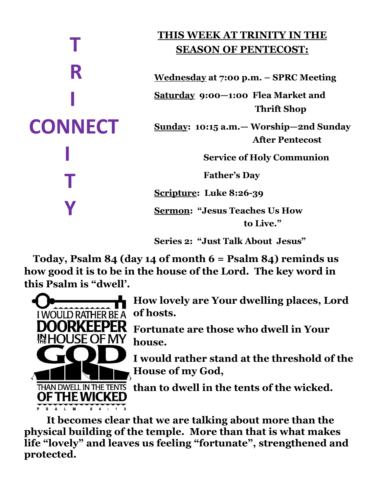# **T R I CONNECT I T Y**

## **THIS WEEK AT TRINITY IN THE SEASON OF PENTECOST:**

**Wednesday at 7:00 p.m. – SPRC Meeting**

**Saturday 9:00—1:00 Flea Market and Thrift Shop** 

**Sunday: 10:15 a.m.— Worship—2nd Sunday After Pentecost**

 **Service of Holy Communion**

 **Father's Day** 

**Scripture: Luke 8:26-39**

**Sermon: "Jesus Teaches Us How to Live."**

**Series 2: "Just Talk About Jesus"**

 **Today, Psalm 84 (day 14 of month 6 = Psalm 84) reminds us how good it is to be in the house of the Lord. The key word in this Psalm is "dwell'.**



**How lovely are Your dwelling places, Lord of hosts.**

**Fortunate are those who dwell in Your house.**

**I would rather stand at the threshold of the House of my God,**

**than to dwell in the tents of the wicked.**

**It becomes clear that we are talking about more than the physical building of the temple. More than that is what makes life "lovely" and leaves us feeling "fortunate", strengthened and protected.**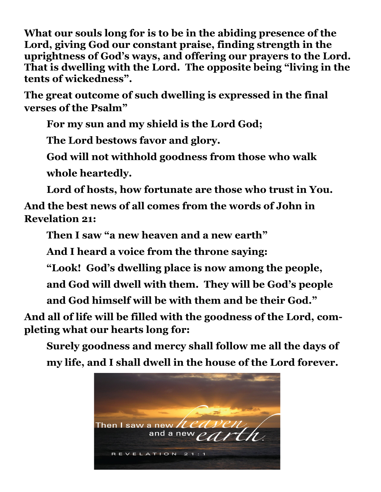**What our souls long for is to be in the abiding presence of the Lord, giving God our constant praise, finding strength in the uprightness of God's ways, and offering our prayers to the Lord. That is dwelling with the Lord. The opposite being "living in the tents of wickedness".**

**The great outcome of such dwelling is expressed in the final verses of the Psalm"**

**For my sun and my shield is the Lord God;**

**The Lord bestows favor and glory.**

**God will not withhold goodness from those who walk whole heartedly.**

**Lord of hosts, how fortunate are those who trust in You.**

**And the best news of all comes from the words of John in Revelation 21:**

**Then I saw "a new heaven and a new earth"**

**And I heard a voice from the throne saying:**

**"Look! God's dwelling place is now among the people,**

**and God will dwell with them. They will be God's people**

**and God himself will be with them and be their God."**

**And all of life will be filled with the goodness of the Lord, completing what our hearts long for:**

**Surely goodness and mercy shall follow me all the days of my life, and I shall dwell in the house of the Lord forever.**

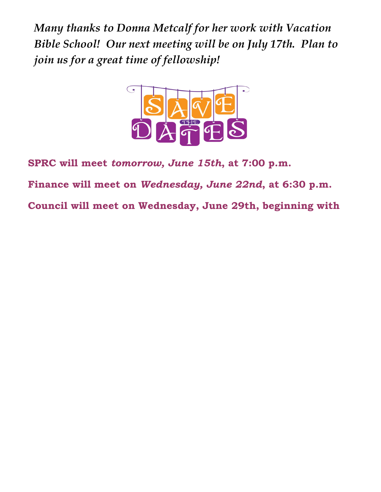*Many thanks to Donna Metcalf for her work with Vacation Bible School! Our next meeting will be on July 17th. Plan to join us for a great time of fellowship!*



**SPRC will meet** *tomorrow, June 15th***, at 7:00 p.m.**

**Finance will meet on** *Wednesday, June 22nd***, at 6:30 p.m.**

**Council will meet on Wednesday, June 29th, beginning with**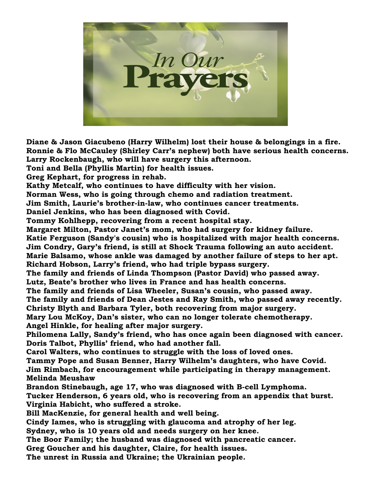

**Diane & Jason Giacubeno (Harry Wilhelm) lost their house & belongings in a fire. Ronnie & Flo McCauley (Shirley Carr's nephew) both have serious health concerns. Larry Rockenbaugh, who will have surgery this afternoon.**

**Toni and Bella (Phyllis Martin) for health issues.** 

**Greg Kephart, for progress in rehab.**

**Kathy Metcalf, who continues to have difficulty with her vision.**

**Norman Wess, who is going through chemo and radiation treatment.**

**Jim Smith, Laurie's brother-in-law, who continues cancer treatments.**

**Daniel Jenkins, who has been diagnosed with Covid.**

**Tommy Kohlhepp, recovering from a recent hospital stay.**

**Margaret Milton, Pastor Janet's mom, who had surgery for kidney failure.**

**Katie Ferguson (Sandy's cousin) who is hospitalized with major health concerns.**

**Jim Condry, Gary's friend, is still at Shock Trauma following an auto accident.**

**Marie Balsamo, whose ankle was damaged by another failure of steps to her apt. Richard Hobson, Larry's friend, who had triple bypass surgery.**

**The family and friends of Linda Thompson (Pastor David) who passed away. Lutz, Beate's brother who lives in France and has health concerns.**

**The family and friends of Lisa Wheeler, Susan's cousin, who passed away.**

**The family and friends of Dean Jestes and Ray Smith, who passed away recently. Christy Blyth and Barbara Tyler, both recovering from major surgery.**

**Mary Lou McKoy, Dan's sister, who can no longer tolerate chemotherapy. Angel Hinkle, for healing after major surgery.**

**Philomena Lally, Sandy's friend, who has once again been diagnosed with cancer. Doris Talbot, Phyllis' friend, who had another fall.**

**Carol Walters, who continues to struggle with the loss of loved ones.**

**Tammy Pope and Susan Benner, Harry Wilhelm's daughters, who have Covid. Jim Rimbach, for encouragement while participating in therapy management. Melinda Meushaw**

**Brandon Stinebaugh, age 17, who was diagnosed with B-cell Lymphoma. Tucker Henderson, 6 years old, who is recovering from an appendix that burst. Virginia Habicht, who suffered a stroke.**

**Bill MacKenzie, for general health and well being.**

**Cindy Iames, who is struggling with glaucoma and atrophy of her leg.**

**Sydney, who is 10 years old and needs surgery on her knee.** 

**The Boor Family; the husband was diagnosed with pancreatic cancer.**

**Greg Goucher and his daughter, Claire, for health issues.** 

**The unrest in Russia and Ukraine; the Ukrainian people.**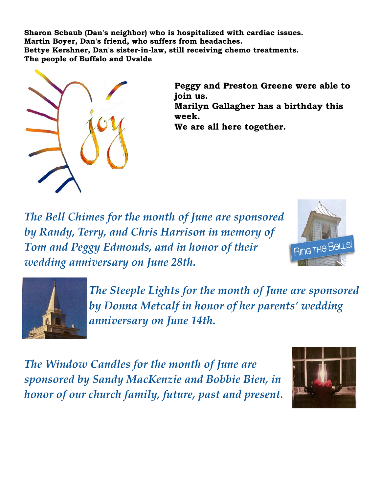**Sharon Schaub (Dan's neighbor) who is hospitalized with cardiac issues. Martin Boyer, Dan's friend, who suffers from headaches. Bettye Kershner, Dan's sister-in-law, still receiving chemo treatments. The people of Buffalo and Uvalde**



**Peggy and Preston Greene were able to join us. Marilyn Gallagher has a birthday this week. We are all here together.**

*The Bell Chimes for the month of June are sponsored by Randy, Terry, and Chris Harrison in memory of Tom and Peggy Edmonds, and in honor of their wedding anniversary on June 28th.*





*The Steeple Lights for the month of June are sponsored by Donna Metcalf in honor of her parents' wedding anniversary on June 14th.*

*The Window Candles for the month of June are sponsored by Sandy MacKenzie and Bobbie Bien, in honor of our church family, future, past and present.*

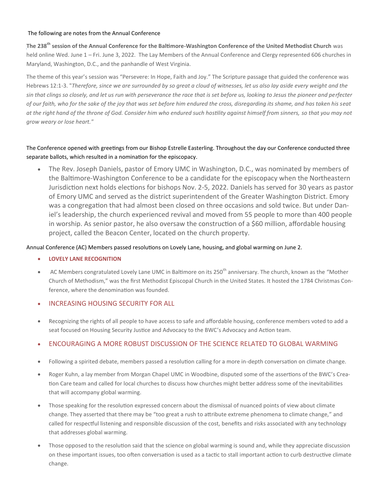#### The following are notes from the Annual Conference

**[Th](file:///C:/Users/trini_dg5j2yo/OneDrive/Documents/BWCUMC Annual Conference notes 2022 (002).pdf)e 238th session of the Annual Conference for the Baltimore-Washington Conference of the United Methodist Church** was held online Wed. June 1 – Fri. June 3, 2022. The Lay Members of the Annual Conference and Clergy represented 606 churches in Maryland, Washington, D.C., and the panhandle of West Virginia.

The theme of this year's session was "Persevere: In Hope, Faith and Joy." The Scripture passage that guided the conference was Hebrews 12:1-3. "*Therefore, since we are surrounded by so great a cloud of witnesses, let us also lay aside every weight and the sin that clings so closely, and let us run with perseverance the race that is set before us, looking to Jesus the pioneer and perfecter of our faith, who for the sake of the joy that was set before him endured the cross, disregarding its shame, and has taken his seat at the right hand of the throne of God. Consider him who endured such hostility against himself from sinners, so that you may not grow weary or lose heart."*

#### The Conference opened with greetings from our Bishop Estrelle Easterling. Throughout the day our Conference conducted three separate ballots, which resulted in a nomination for the episcopacy.

• The Rev. Joseph Daniels, pastor of Emory UMC in Washington, D.C., was nominated by members of the Baltimore-Washington Conference to be a candidate for the episcopacy when the Northeastern Jurisdiction next holds elections for bishops Nov. 2-5, 2022. Daniels has served for 30 years as pastor of Emory UMC and served as the district superintendent of the Greater Washington District. Emory was a congregation that had almost been closed on three occasions and sold twice. But under Daniel's leadership, the church experienced revival and moved from 55 people to more than 400 people in worship. As senior pastor, he also oversaw the construction of a \$60 million, affordable housing project, called the Beacon Center, located on the church property.

#### Annual Conference (AC) Members passed resolutions on Lovely Lane, housing, and global warming on June 2.

- **LOVELY LANE RECOGNITION**
- AC Members congratulated Lovely Lane UMC in Baltimore on its 250<sup>th</sup> anniversary. The church, known as the "Mother Church of Methodism," was the first Methodist Episcopal Church in the United States. It hosted the 1784 Christmas Conference, where the denomination was founded.

#### **INCREASING HOUSING SECURITY FOR ALL**

• Recognizing the rights of all people to have access to safe and affordable housing, conference members voted to add a seat focused on Housing Security Justice and Advocacy to the BWC's Advocacy and Action team.

#### • ENCOURAGING A MORE ROBUST DISCUSSION OF THE SCIENCE RELATED TO GLOBAL WARMING

- Following a spirited debate, members passed a resolution calling for a more in-depth conversation on climate change.
- Roger Kuhn, a lay member from Morgan Chapel UMC in Woodbine, disputed some of the assertions of the BWC's Creation Care team and called for local churches to discuss how churches might better address some of the inevitabilities that will accompany global warming.
- Those speaking for the resolution expressed concern about the dismissal of nuanced points of view about climate change. They asserted that there may be "too great a rush to attribute extreme phenomena to climate change," and called for respectful listening and responsible discussion of the cost, benefits and risks associated with any technology that addresses global warming.
- Those opposed to the resolution said that the science on global warming is sound and, while they appreciate discussion on these important issues, too often conversation is used as a tactic to stall important action to curb destructive climate change.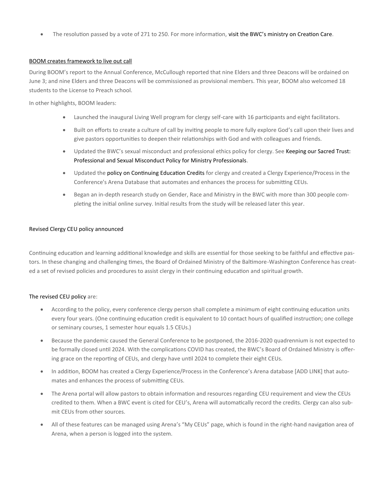The resolution passed by a vote of 271 to 250. For more information, visit the BWC's ministry on Creation Care.

#### BOOM creates framework to live out call

During BOOM's report to the Annual Conference, McCullough reported that nine Elders and three Deacons will be ordained on June 3; and nine Elders and three Deacons will be commissioned as provisional members. This year, BOOM also welcomed 18 students to the License to Preach school.

In other highlights, BOOM leaders:

- Launched the inaugural Living Well program for clergy self-care with 16 participants and eight facilitators.
- Built on efforts to create a culture of call by inviting people to more fully explore God's call upon their lives and give pastors opportunities to deepen their relationships with God and with colleagues and friends.
- Updated the BWC's sexual misconduct and professional ethics policy for clergy. See Keeping our Sacred Trust: Professional and Sexual Misconduct Policy for Ministry Professionals.
- Updated the policy on Continuing Education Credits for clergy and created a Clergy Experience/Process in the Conference's Arena Database that automates and enhances the process for submitting CEUs.
- Began an in-depth research study on Gender, Race and Ministry in the BWC with more than 300 people completing the initial online survey. Initial results from the study will be released later this year.

#### Revised Clergy CEU policy announced

Continuing education and learning additional knowledge and skills are essential for those seeking to be faithful and effective pastors. In these changing and challenging times, the Board of Ordained Ministry of the Baltimore-Washington Conference has created a set of revised policies and procedures to assist clergy in their continuing education and spiritual growth.

#### The revised CEU policy are:

- According to the policy, every conference clergy person shall complete a minimum of eight continuing education units every four years. (One continuing education credit is equivalent to 10 contact hours of qualified instruction; one college or seminary courses, 1 semester hour equals 1.5 CEUs.)
- Because the pandemic caused the General Conference to be postponed, the 2016-2020 quadrennium is not expected to be formally closed until 2024. With the complications COVID has created, the BWC's Board of Ordained Ministry is offering grace on the reporting of CEUs, and clergy have until 2024 to complete their eight CEUs.
- In addition, BOOM has created a Clergy Experience/Process in the Conference's Arena database [ADD LINK] that automates and enhances the process of submitting CEUs.
- The Arena portal will allow pastors to obtain information and resources regarding CEU requirement and view the CEUs credited to them. When a BWC event is cited for CEU's, Arena will automatically record the credits. Clergy can also submit CEUs from other sources.
- All of these features can be managed using Arena's "My CEUs" page, which is found in the right-hand navigation area of Arena, when a person is logged into the system.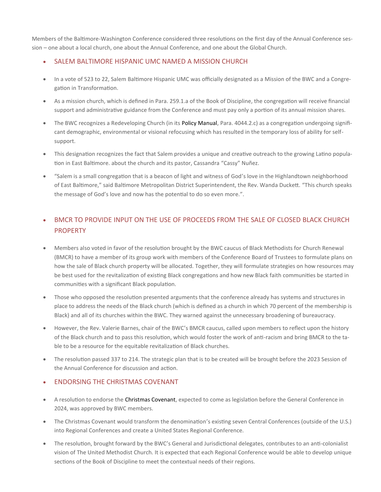Members of the Baltimore-Washington Conference considered three resolutions on the first day of the Annual Conference session – one about a local church, one about the Annual Conference, and one about the Global Church.

#### • SALEM BALTIMORE HISPANIC UMC NAMED A MISSION CHURCH

- In a vote of 523 to 22, Salem Baltimore Hispanic UMC was officially designated as a Mission of the BWC and a Congregation in Transformation.
- As a mission church, which is defined in Para. 259.1.a of the Book of Discipline, the congregation will receive financial support and administrative guidance from the Conference and must pay only a portion of its annual mission shares.
- The BWC recognizes a Redeveloping Church (in its Policy Manual, Para. 4044.2.c) as a congregation undergoing significant demographic, environmental or visional refocusing which has resulted in the temporary loss of ability for selfsupport.
- This designation recognizes the fact that Salem provides a unique and creative outreach to the growing Latino population in East Baltimore. about the church and its pastor, Cassandra "Cassy" Nuñez.
- "Salem is a small congregation that is a beacon of light and witness of God's love in the Highlandtown neighborhood of East Baltimore," said Baltimore Metropolitan District Superintendent, the Rev. Wanda Duckett. "This church speaks the message of God's love and now has the potential to do so even more.".

### • BMCR TO PROVIDE INPUT ON THE USE OF PROCEEDS FROM THE SALE OF CLOSED BLACK CHURCH PROPERTY

- Members also voted in favor of the resolution brought by the BWC caucus of Black Methodists for Church Renewal (BMCR) to have a member of its group work with members of the Conference Board of Trustees to formulate plans on how the sale of Black church property will be allocated. Together, they will formulate strategies on how resources may be best used for the revitalization of existing Black congregations and how new Black faith communities be started in communities with a significant Black population.
- Those who opposed the resolution presented arguments that the conference already has systems and structures in place to address the needs of the Black church (which is defined as a church in which 70 percent of the membership is Black) and all of its churches within the BWC. They warned against the unnecessary broadening of bureaucracy.
- However, the Rev. Valerie Barnes, chair of the BWC's BMCR caucus, called upon members to reflect upon the history of the Black church and to pass this resolution, which would foster the work of anti-racism and bring BMCR to the table to be a resource for the equitable revitalization of Black churches.
- The resolution passed 337 to 214. The strategic plan that is to be created will be brought before the 2023 Session of the Annual Conference for discussion and action.

#### • ENDORSING THE CHRISTMAS COVENANT

- A resolution to endorse the Christmas Covenant, expected to come as legislation before the General Conference in 2024, was approved by BWC members.
- The Christmas Covenant would transform the denomination's existing seven Central Conferences (outside of the U.S.) into Regional Conferences and create a United States Regional Conference.
- The resolution, brought forward by the BWC's General and Jurisdictional delegates, contributes to an anti-colonialist vision of The United Methodist Church. It is expected that each Regional Conference would be able to develop unique sections of the Book of Discipline to meet the contextual needs of their regions.